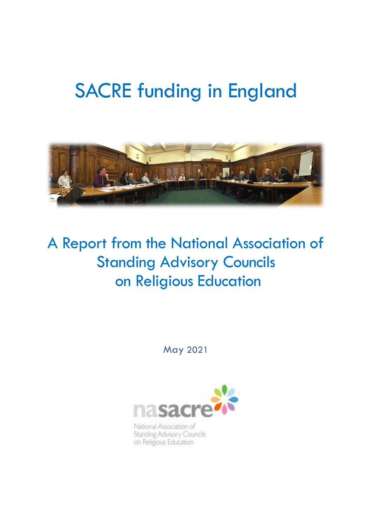# SACRE funding in England



# A Report from the National Association of Standing Advisory Councils on Religious Education

May 2021



National Association of Standing Advisory Councils on Religious Education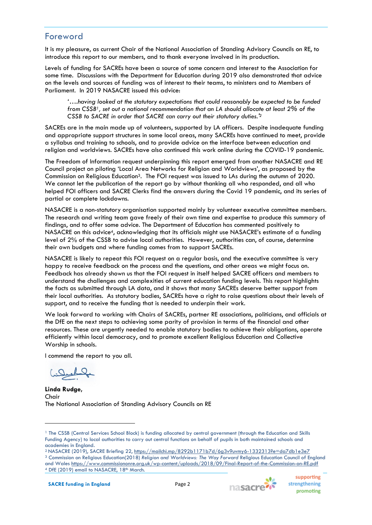#### Foreword

It is my pleasure, as current Chair of the National Association of Standing Advisory Councils on RE, to introduce this report to our members, and to thank everyone involved in its production.

Levels of funding for SACREs have been a source of some concern and interest to the Association for some time. Discussions with the Department for Education during 2019 also demonstrated that advice on the levels and sources of funding was of interest to their teams, to ministers and to Members of Parliament. In 2019 NASACRE issued this advice:

*'….having looked at the statutory expectations that could reasonably be expected to be funded from CSSB1, set out a national recommendation that an LA should allocate at least 2% of the CSSB to SACRE in order that SACRE can carry out their statutory duties.'<sup>2</sup>*

SACREs are in the main made up of volunteers, supported by LA officers. Despite inadequate funding and appropriate support structures in some local areas, many SACREs have continued to meet, provide a syllabus and training to schools, and to provide advice on the interface between education and religion and worldviews. SACREs have also continued this work online during the COVID-19 pandemic.

The Freedom of Information request underpinning this report emerged from another NASACRE and RE Council project on piloting 'Local Area Networks for Religion and Worldviews', as proposed by the Commission on Religious Education3. The FOI request was issued to LAs during the autumn of 2020. We cannot let the publication of the report go by without thanking all who responded, and all who helped FOI officers and SACRE Clerks find the answers during the Covid 19 pandemic, and its series of partial or complete lockdowns.

NASACRE is a non-statutory organisation supported mainly by volunteer executive committee members. The research and writing team gave freely of their own time and expertise to produce this summary of findings, and to offer some advice. The Department of Education has commented positively to NASACRE on this advice4, acknowledging that its officials might use NASACRE's estimate of a funding level of 2% of the CSSB to advise local authorities. However, authorities can, of course, determine their own budgets and where funding comes from to support SACREs.

NASACRE is likely to repeat this FOI request on a regular basis, and the executive committee is very happy to receive feedback on the process and the questions, and other areas we might focus on. Feedback has already shown us that the FOI request in itself helped SACRE officers and members to understand the challenges and complexities of current education funding levels. This report highlights the facts as submitted through LA data, and it shows that many SACREs deserve better support from their local authorities. As statutory bodies, SACREs have a right to raise questions about their levels of support, and to receive the funding that is needed to underpin their work.

We look forward to working with Chairs of SACREs, partner RE associations, politicians, and officials at the DfE on the next steps to achieving some parity of provision in terms of the financial and other resources. These are urgently needed to enable statutory bodies to achieve their obligations, operate efficiently within local democracy, and to promote excellent Religious Education and Collective Worship in schools.

I commend the report to you all.

**Linda Rudge,** Chair The National Association of Standing Advisory Councils on RE



supporting strengthening promoting

<sup>&</sup>lt;sup>1</sup> The CSSB (Central Services School Block) is funding allocated by central government (through the Education and Skills Funding Agency) to local authorities to carry out central functions on behalf of pupils in both maintained schools and academies in England.

<sup>2</sup> NASACRE (2019), SACRE Briefing 22,<https://mailchi.mp/8292b1171b7d/6g3v9uvmy6-1332313?e=da7db1e3e7> <sup>3</sup> Commission on Religious Education(2018) *Religion and Worldviews: The Way Forward* Religious Education Council of England and Wales <https://www.commissiononre.org.uk/wp-content/uploads/2018/09/Final-Report-of-the-Commission-on-RE.pdf> <sup>4</sup> DfE (2019) email to NASACRE, 18<sup>th</sup> March.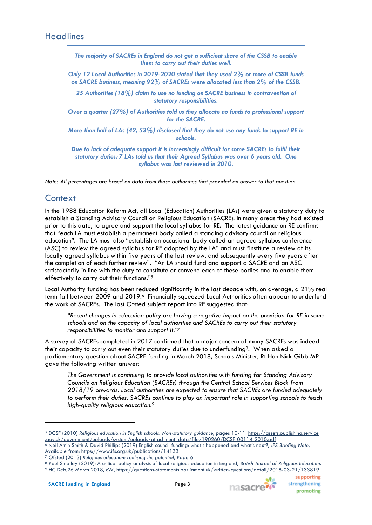#### **Headlines**

*The majority of SACREs in England do not get a sufficient share of the CSSB to enable them to carry out their duties well.* 

*Only 12 Local Authorities in 2019-2020 stated that they used 2% or more of CSSB funds on SACRE business, meaning 92% of SACREs were allocated less than 2% of the CSSB.*

*25 Authorities (18%) claim to use no funding on SACRE business in contravention of statutory responsibilities.*

*Over a quarter (27%) of Authorities told us they allocate no funds to professional support for the SACRE.*

*More than half of LAs (42, 53%) disclosed that they do not use any funds to support RE in schools.*

*Due to lack of adequate support it is increasingly difficult for some SACREs to fulfil their statutory duties; 7 LAs told us that their Agreed Syllabus was over 6 years old. One syllabus was last reviewed in 2010.*

*Note: All percentages are based on data from those authorities that provided an answer to that question.*

### **Context**

In the 1988 Education Reform Act, all Local (Education) Authorities (LAs) were given a statutory duty to establish a Standing Advisory Council on Religious Education (SACRE). In many areas they had existed prior to this date, to agree and support the local syllabus for RE. The latest guidance on RE confirms that "each LA must establish a permanent body called a standing advisory council on religious education". The LA must also "establish an occasional body called an agreed syllabus conference (ASC) to review the agreed syllabus for RE adopted by the LA" and must "institute a review of its locally agreed syllabus within five years of the last review, and subsequently every five years after the completion of each further review". "An LA should fund and support a SACRE and an ASC satisfactorily in line with the duty to constitute or convene each of these bodies and to enable them effectively to carry out their functions."<sup>5</sup>

Local Authority funding has been reduced significantly in the last decade with, on average, a 21% real term fall between 2009 and 2019.6 Financially squeezed Local Authorities often appear to underfund the work of SACREs. The last Ofsted subject report into RE suggested that:

*"Recent changes in education policy are having a negative impact on the provision for RE in some schools and on the capacity of local authorities and SACREs to carry out their statutory responsibilities to monitor and support it."*<sup>7</sup>

A survey of SACREs completed in 2017 confirmed that a major concern of many SACREs was indeed their capacity to carry out even their statutory duties due to underfunding8. When asked a parliamentary question about SACRE funding in March 2018, Schools Minister, Rt Hon Nick Gibb MP gave the following written answer:

*The Government is continuing to provide local authorities with funding for Standing Advisory Councils on Religious Education (SACREs) through the Central School Services Block from 2018/19 onwards. Local authorities are expected to ensure that SACREs are funded adequately to perform their duties. SACREs continue to play an important role in supporting schools to teach high-quality religious education.<sup>9</sup>*



<sup>5</sup> DCSF (2010) *Religious education in English schools: Non*‑*statutory guidance*, pages 10-11. https://assets.publishing.service .gov.uk/government/uploads/system/uploads/attachment\_data/file/190260/DCSF-00114-2010.pdf <sup>6</sup> Neil Amin Smith & David Phillips (2019) English council funding: what's happened and what's next?, *IFS Briefing Note*, Available from: <https://www.ifs.org.uk/publications/14133>

<sup>7</sup> Ofsted (2013) *Religious education: realising the potential*, Page 6

<sup>8</sup> Paul Smalley (2019): A critical policy analysis of local religious education in England, *British Journal of Religious Education.* <sup>9</sup> HC Deb,26 March 2018, cW[, https://questions-statements.parliament.uk/written-questions/detail/2018-03-21/133819](https://questions-statements.parliament.uk/written-questions/detail/2018-03-21/133819)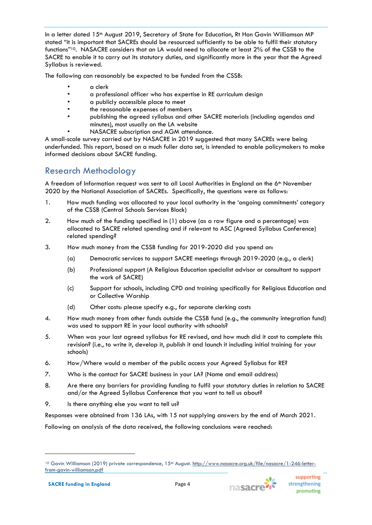In a letter dated 15<sup>th</sup> August 2019, Secretary of State for Education, Rt Hon Gavin Williamson MP stated "it is important that SACREs should be resourced sufficiently to be able to fulfil their statutory functions"10. NASACRE considers that an LA would need to allocate at least 2% of the CSSB to the SACRE to enable it to carry out its statutory duties, and significantly more in the year that the Agreed Syllabus is reviewed.

The following can reasonably be expected to be funded from the CSSB:

- a clerk
- a professional officer who has expertise in RE curriculum design
- a publicly accessible place to meet
- the reasonable expenses of members
- publishing the agreed syllabus and other SACRE materials (including agendas and minutes), most usually on the LA website
- NASACRE subscription and AGM attendance.

A small-scale survey carried out by NASACRE in 2019 suggested that many SACREs were being underfunded. This report, based on a much fuller data set, is intended to enable policymakers to make informed decisions about SACRE funding.

# Research Methodology

A freedom of Information request was sent to all Local Authorities in England on the  $6<sup>th</sup>$  November 2020 by the National Association of SACREs. Specifically, the questions were as follows:

- 1. How much funding was allocated to your local authority in the 'ongoing commitments' category of the CSSB (Central Schools Services Block)
- 2. How much of the funding specified in (1) above (as a raw figure and a percentage) was allocated to SACRE related spending and if relevant to ASC (Agreed Syllabus Conference) related spending?
- 3. How much money from the CSSB funding for 2019-2020 did you spend on:
	- (a) Democratic services to support SACRE meetings through 2019-2020 (e.g., a clerk)
	- (b) Professional support (A Religious Education specialist advisor or consultant to support the work of SACRE)
	- (c) Support for schools, including CPD and training specifically for Religious Education and or Collective Worship
	- (d) Other costs: please specify e.g., for separate clerking costs
- 4. How much money from other funds outside the CSSB fund (e.g., the community integration fund) was used to support RE in your local authority with schools?
- 5. When was your last agreed syllabus for RE revised, and how much did it cost to complete this revision? (i.e., to write it, develop it, publish it and launch it including initial training for your schools)
- 6. How/Where would a member of the public access your Agreed Syllabus for RE?
- 7. Who is the contact for SACRE business in your LA? (Name and email address)
- 8. Are there any barriers for providing funding to fulfil your statutory duties in relation to SACRE and/or the Agreed Syllabus Conference that you want to tell us about?
- 9. Is there anything else you want to tell us?

Responses were obtained from 136 LAs, with 15 not supplying answers by the end of March 2021.

Following an analysis of the data received, the following conclusions were reached:



supporting

promoting

strengthening

<sup>&</sup>lt;sup>10</sup> Gavin Williamson (2019) private correspondence, 15<sup>th</sup> August. [http://www.nasacre.org.uk/file/nasacre/1-246-letter](http://www.nasacre.org.uk/file/nasacre/1-246-letter-from-gavin-williamson.pdf)[from-gavin-williamson.pdf](http://www.nasacre.org.uk/file/nasacre/1-246-letter-from-gavin-williamson.pdf)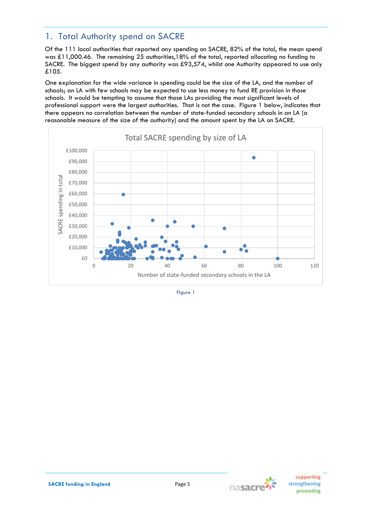# 1. Total Authority spend on SACRE

Of the 111 local authorities that reported any spending on SACRE, 82% of the total, the mean spend was £11,000.46. The remaining 25 authorities,18% of the total, reported allocating no funding to SACRE. The biggest spend by any authority was £93,574, whilst one Authority appeared to use only £105.

One explanation for the wide variance in spending could be the size of the LA, and the number of schools; an LA with few schools may be expected to use less money to fund RE provision in those schools. It would be tempting to assume that those LAs providing the most significant levels of professional support were the largest authorities. That is not the case. Figure 1 below, indicates that there appears no correlation between the number of state-funded secondary schools in an LA (a reasonable measure of the size of the authority) and the amount spent by the LA on SACRE.



Figure 1

nasacre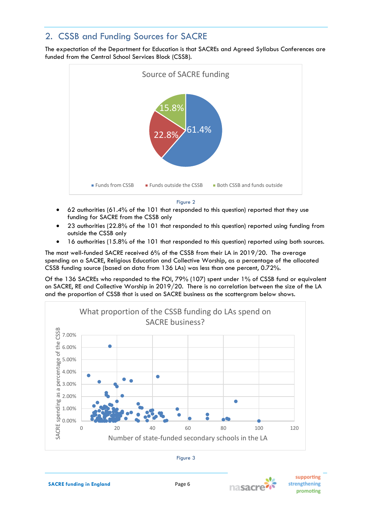# 2. CSSB and Funding Sources for SACRE

The expectation of the Department for Education is that SACREs and Agreed Syllabus Conferences are funded from the Central School Services Block (CSSB).



Figure 2

- 62 authorities (61.4% of the 101 that responded to this question) reported that they use funding for SACRE from the CSSB only
- 23 authorities (22.8% of the 101 that responded to this question) reported using funding from outside the CSSB only
- 16 authorities (15.8% of the 101 that responded to this question) reported using both sources.

The most well-funded SACRE received 6% of the CSSB from their LA in 2019/20. The average spending on a SACRE, Religious Education and Collective Worship, as a percentage of the allocated CSSB funding source (based on data from 136 LAs) was less than one percent, 0.72%.

Of the 136 SACREs who responded to the FOI, 79% (107) spent under 1% of CSSB fund or equivalent on SACRE, RE and Collective Worship in 2019/20. There is no correlation between the size of the LA and the proportion of CSSB that is used on SACRE business as the scattergram below shows.





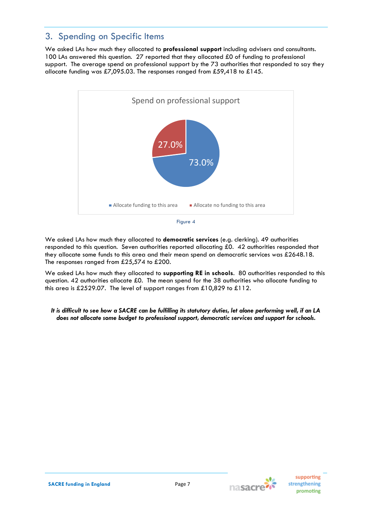# 3. Spending on Specific Items

We asked LAs how much they allocated to **professional support** including advisers and consultants. 100 LAs answered this question. 27 reported that they allocated £0 of funding to professional support. The average spend on professional support by the 73 authorities that responded to say they allocate funding was £7,095.03. The responses ranged from £59,418 to £145.





We asked LAs how much they allocated to **supporting RE in schools**. 80 authorities responded to this question. 42 authorities allocate £0. The mean spend for the 38 authorities who allocate funding to this area is £2529.07. The level of support ranges from £10,829 to £112.

*It is difficult to see how a SACRE can be fulfilling its statutory duties, let alone performing well, if an LA does not allocate some budget to professional support, democratic services and support for schools.*

nasacre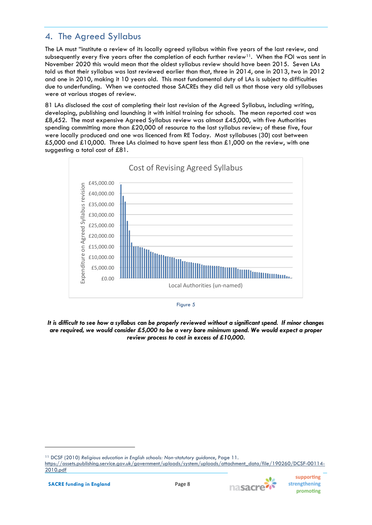# 4. The Agreed Syllabus

The LA must "institute a review of its locally agreed syllabus within five years of the last review, and subsequently every five years after the completion of each further review<sup>11</sup>. When the FOI was sent in November 2020 this would mean that the oldest syllabus review should have been 2015. Seven LAs told us that their syllabus was last reviewed earlier than that, three in 2014, one in 2013, two in 2012 and one in 2010, making it 10 years old. This most fundamental duty of LAs is subject to difficulties due to underfunding. When we contacted those SACREs they did tell us that those very old syllabuses were at various stages of review.

81 LAs disclosed the cost of completing their last revision of the Agreed Syllabus, including writing, developing, publishing and launching it with initial training for schools. The mean reported cost was £8,452. The most expensive Agreed Syllabus review was almost £45,000, with five Authorities spending committing more than £20,000 of resource to the last syllabus review; of these five, four were locally produced and one was licenced from RE Today. Most syllabuses (30) cost between £5,000 and £10,000. Three LAs claimed to have spent less than £1,000 on the review, with one suggesting a total cost of £81.





*It is difficult to see how a syllabus can be properly reviewed without a significant spend. If minor changes are required, we would consider £5,000 to be a very bare minimum spend. We would expect a proper review process to cost in excess of £10,000.*

supporting

promoting

strengthening

w

nasacre<sup>7</sup>

<sup>11</sup> DCSF (2010) *Religious education in English schools: Non*‑*statutory guidance*, Page 11.

[https://assets.publishing.service.gov.uk/government/uploads/system/uploads/attachment\\_data/file/190260/DCSF-00114-](https://assets.publishing.service.gov.uk/government/uploads/system/uploads/attachment_data/file/190260/DCSF-00114-2010.pdf) [2010.pdf](https://assets.publishing.service.gov.uk/government/uploads/system/uploads/attachment_data/file/190260/DCSF-00114-2010.pdf)